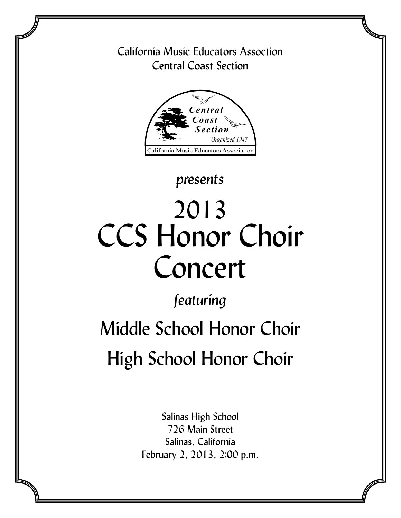### California Music Educators Assoction Central Coast Section



## *presents*

# 2013 CCS Honor Choir Concert

# *featuring*

# Middle School Honor Choir High School Honor Choir

Salinas High School 726 Main Street Salinas, California February 2, 2013, 2:00 p.m.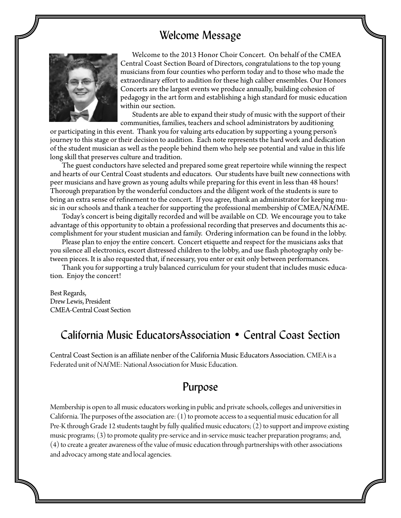### Welcome Message



Welcome to the 2013 Honor Choir Concert. On behalf of the CMEA Central Coast Section Board of Directors, congratulations to the top young musicians from four counties who perform today and to those who made the extraordinary effort to audition for these high caliber ensembles. Our Honors Concerts are the largest events we produce annually, building cohesion of pedagogy in the art form and establishing a high standard for music education within our section.

Students are able to expand their study of music with the support of their communities, families, teachers and school administrators by auditioning

or participating in this event. Thank you for valuing arts education by supporting a young person's journey to this stage or their decision to audition. Each note represents the hard work and dedication of the student musician as well as the people behind them who help see potential and value in this life long skill that preserves culture and tradition.

The guest conductors have selected and prepared some great repertoire while winning the respect and hearts of our Central Coast students and educators. Our students have built new connections with peer musicians and have grown as young adults while preparing for this event in less than 48 hours! Thorough preparation by the wonderful conductors and the diligent work of the students is sure to bring an extra sense of refinement to the concert. If you agree, thank an administrator for keeping music in our schools and thank a teacher for supporting the professional membership of CMEA/NAfME.

Today's concert is being digitally recorded and will be available on CD. We encourage you to take advantage of this opportunity to obtain a professional recording that preserves and documents this accomplishment for your student musician and family. Ordering information can be found in the lobby.

Please plan to enjoy the entire concert. Concert etiquette and respect for the musicians asks that you silence all electronics, escort distressed children to the lobby, and use flash photography only between pieces. It is also requested that, if necessary, you enter or exit only between performances.

Thank you for supporting a truly balanced curriculum for your student that includes music education. Enjoy the concert!

Best Regards, Drew Lewis, President CMEA-Central Coast Section

### California Music EducatorsAssociation • Central Coast Section

Central Coast Section is an affiliate nenber of the California Music Educators Association. CMEA is a Federated unit of NAfME: National Association for Music Education.

### Purpose

Membership is open to all music educators working in public and private schools, colleges and universities in California. The purposes of the association are: (1) to promote access to a sequential music education for all Pre-K through Grade 12 students taught by fully qualified music educators; (2) to support and improve existing music programs; (3) to promote quality pre-service and in-service music teacher preparation programs; and, (4) to create a greater awareness of the value of music education through partnerships with other associations and advocacy among state and local agencies.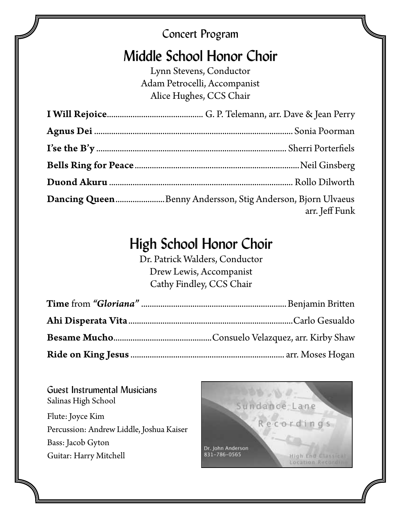### Concert Program

## Middle School Honor Choir

Lynn Stevens, Conductor Adam Petrocelli, Accompanist Alice Hughes, CCS Chair

| Dancing QueenBenny Andersson, Stig Anderson, Bjorn Ulvaeus<br>arr. Jeff Funk |
|------------------------------------------------------------------------------|

# High School Honor Choir

Dr. Patrick Walders, Conductor Drew Lewis, Accompanist Cathy Findley, CCS Chair

Guest Instrumental Musicians Salinas High School Flute: Joyce Kim Percussion: Andrew Liddle, Joshua Kaiser Bass: Jacob Gyton Guitar: Harry Mitchell

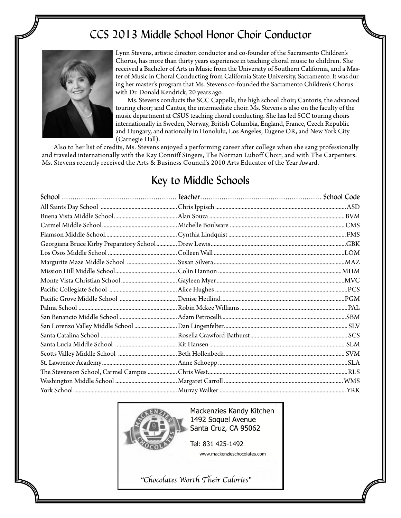### CCS 2013 Middle School Honor Choir Conductor



Lynn Stevens, artistic director, conductor and co-founder of the Sacramento Children's Chorus, has more than thirty years experience in teaching choral music to children. She received a Bachelor of Arts in Music from the University of Southern California, and a Master of Music in Choral Conducting from California State University, Sacramento. It was during her master's program that Ms. Stevens co-founded the Sacramento Children's Chorus with Dr. Donald Kendrick, 20 years ago.

Ms. Stevens conducts the SCC Cappella, the high school choir; Cantoris, the advanced touring choir; and Cantus, the intermediate choir. Ms. Stevens is also on the faculty of the music department at CSUS teaching choral conducting. She has led SCC touring choirs internationally in Sweden, Norway, British Columbia, England, France, Czech Republic and Hungary, and nationally in Honolulu, Los Angeles, Eugene OR, and New York City (Carnegie Hall).

Also to her list of credits, Ms. Stevens enjoyed a performing career after college when she sang professionally and traveled internationally with the Ray Conniff Singers, The Norman Luboff Choir, and with The Carpenters. Ms. Stevens recently received the Arts & Business Council's 2010 Arts Educator of the Year Award.

### Key to Middle Schools



Mackenzies Kandy Kitchen 1492 Soquel Avenue Santa Cruz, CA 95062

Tel: 831 425-1492 www.mackenzieschocolates.com

"Chocolates Worth Their Calories"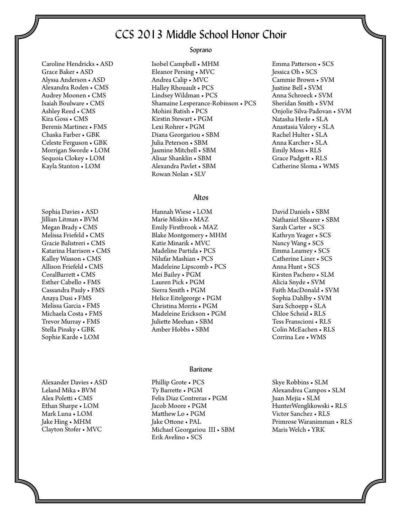### CCS 2013 Middle School Honor Choir

Caroline Hendricks • ASD Grace Baker • ASD Alyssa Anderson • ASD Alexandra Roden • CMS Audrey Moonen • CMS Isaiah Boulware • CMS Ashley Reed • CMS Kira Goss • CMS Berenis Martinez • FMS Chaska Farber • GBK Celeste Ferguson • GBK Morrigan Sworde • LOM Sequoia Clokey • LOM Kayla Stanton • LOM

Sophia Davies • ASD Jillian Litman • BVM Megan Brady • CMS Melissa Friefeld • CMS Gracie Balistreri • CMS Katarina Harrison • CMS Kalley Wasson • CMS Allison Friefeld • CMS CoralBarrett • CMS Esther Cabello • FMS Cassandra Pauly • FMS Anaya Dusi • FMS Melissa Garcia • FMS Michaela Costa • FMS Trevor Murray • FMS Stella Pinsky • GBK Sophie Karde • LOM

Alexander Davies • ASD Leland Mika • BVM Alex Poletti • CMS Ethan Sharpe • LOM Mark Luna • LOM Jake Hing • MHM Clayton Stofer • MVC

#### Soprano

Isobel Campbell • MHM Eleanor Persing • MVC Andrea Calip • MVC Halley Rhouault • PCS Lindsey Wildman • PCS Shamaine Lesperance-Robinson • PCS Mohini Batish • PCS Kirstin Stewart • PGM Lexi Rohrer • PGM Diana Georgariou • SBM Julia Peterson • SBM Jasmine Mitchell • SBM Alisar Shanklin • SBM Alexandra Pavlet • SBM Rowan Nolan • SLV

#### Altos

Hannah Wiese • LOM Marie Miskin • MAZ Emily Firstbrook • MAZ Blake Montgomery • MHM Katie Minarik • MVC Madeline Partida • PCS Nilufar Mashian • PCS Madeleine Lipscomb • PCS Mei Bailey • PGM Lauren Pick • PGM Sierra Smith • PGM Helice Eitelgeorge • PGM Christina Morris • PGM Madeleine Erickson • PGM Juliette Meehan • SBM Amber Hobbs • SBM

#### Baritone

Phillip Grote • PCS Ty Barrette • PGM Felix Diaz Contreras • PGM Jacob Moore • PGM Matthew Lo • PGM Jake Ottone • PAL Michael Georgariou III • SBM Erik Avelino • SCS

Emma Patterson • SCS Jessica Oh • SCS Cammie Brown • SVM Justine Bell • SVM Anna Schroeck • SVM Sheridan Smith • SVM Onjolie Silva-Padovan • SVM Natasha Herle • SLA Anastasia Valory • SLA Rachel Hulter • SLA Anna Karcher • SLA Emily Moss • RLS Grace Padgett • RLS Catherine Sloma • WMS

David Daniels • SBM Nathaniel Shearer • SBM Sarah Carter • SCS Kathryn Yeager • SCS Nancy Wang • SCS Emma Leamey • SCS Catherine Liner • SCS Anna Hunt • SCS Kirsten Pachero • SLM Alicia Snyde • SVM Faith MacDonald • SVM Sophia Dahlby • SVM Sara Schoepp • SLA Chloe Scheid • RLS Tess Franscioni • RLS Colin McEachen • RLS Corrina Lee • WMS

Skye Robbins • SLM Alexandrea Campos • SLM Juan Mejia • SLM HunterWenglikowski • RLS Victor Sanchez • RLS Primrose Waranimman • RLS Maris Welch • YRK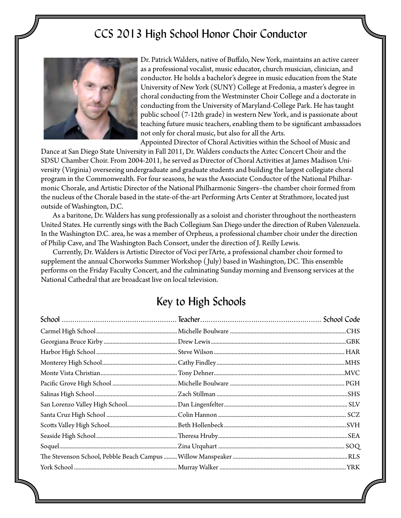### CCS 2013 High School Honor Choir Conductor



Dr. Patrick Walders, native of Buffalo, New York, maintains an active career as a professional vocalist, music educator, church musician, clinician, and conductor. He holds a bachelor's degree in music education from the State University of New York (SUNY) College at Fredonia, a master's degree in choral conducting from the Westminster Choir College and a doctorate in conducting from the University of Maryland-College Park. He has taught public school (7-12th grade) in western New York, and is passionate about teaching future music teachers, enabling them to be significant ambassadors not only for choral music, but also for all the Arts.

Appointed Director of Choral Activities within the School of Music and

Dance at San Diego State University in Fall 2011, Dr. Walders conducts the Aztec Concert Choir and the SDSU Chamber Choir. From 2004-2011, he served as Director of Choral Activities at James Madison University (Virginia) overseeing undergraduate and graduate students and building the largest collegiate choral program in the Commonwealth. For four seasons, he was the Associate Conductor of the National Philharmonic Chorale, and Artistic Director of the National Philharmonic Singers–the chamber choir formed from the nucleus of the Chorale based in the state-of-the-art Performing Arts Center at Strathmore, located just outside of Washington, D.C.

As a baritone, Dr. Walders has sung professionally as a soloist and chorister throughout the northeastern United States. He currently sings with the Bach Collegium San Diego under the direction of Ruben Valenzuela. In the Washington D.C. area, he was a member of Orpheus, a professional chamber choir under the direction of Philip Cave, and The Washington Bach Consort, under the direction of J. Reilly Lewis.

Currently, Dr. Walders is Artistic Director of Voci per l'Arte, a professional chamber choir formed to supplement the annual Chorworks Summer Workshop ( July) based in Washington, DC. This ensemble performs on the Friday Faculty Concert, and the culminating Sunday morning and Evensong services at the National Cathedral that are broadcast live on local television.

### Key to High Schools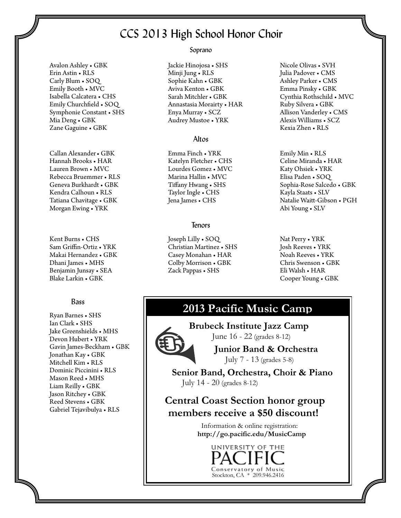### CCS 2013 High School Honor Choir

Avalon Ashley • GBK Erin Astin • RLS Carly Blum • SOQ Emily Booth • MVC Isabella Calcatera • CHS Emily Churchfield • SOQ Symphonie Constant • SHS Mia Deng • GBK Zane Gaguine • GBK

Callan Alexander• GBK Hannah Brooks • HAR Lauren Brown • MVC Rebecca Bruemmer • RLS Geneva Burkhardt • GBK Kendra Calhoun • RLS Tatiana Chavitage • GBK Morgan Ewing • YRK

Kent Burns • CHS Sam Griffin-Ortiz • YRK Makai Hernandez • GBK Dhani James • MHS Benjamin Junsay • SEA Blake Larkin • GBK

#### Bass

Ryan Barnes • SHS Ian Clark • SHS Jake Greenshields • MHS Devon Hubert • YRK Gavin James-Beckham • GBK Jonathan Kay • GBK Mitchell Kim • RLS Dominic Piccinini • RLS Mason Reed • MHS Liam Reilly • GBK Jason Ritchey • GBK Reed Stevens • GBK Gabriel Tejavibulya • RLS

I

 I I I I

#### Soprano

Jackie Hinojosa • SHS Minji Jung • RLS Sophie Kahn • GBK Aviva Kenton • GBK Sarah Mitchler • GBK Annastasia Morairty • HAR Enya Murray • SCZ Audrey Mustoe • YRK

#### Altos

Emma Finch • YRK Katelyn Fletcher • CHS Lourdes Gomez • MVC Marina Hallin • MVC Tiffany Hwang • SHS Taylor Ingle • CHS Jena James • CHS

#### Tenors

Joseph Lilly • SOQ Christian Martinez • SHS Casey Monahan • HAR Colby Morrison • GBK Zack Pappas • SHS

Nicole Olivas • SVH Julia Padover • CMS Ashley Parker • CMS Emma Pinsky • GBK Cynthia Rothschild • MVC Ruby Silvera • GBK Allison Vanderley • CMS Alexis Williams • SCZ Kexia Zhen • RLS

Emily Min • RLS Celine Miranda • HAR Katy Ohsiek • YRK Elisa Paden • SOQ Sophia-Rose Salcedo • GBK Kayla Staats • SLV Natalie Waitt-Gibson • PGH Abi Young • SLV

Nat Perry • YRK Josh Reeves • YRK Noah Reeves • YRK Chris Swenson • GBK Eli Walsh • HAR Cooper Young • GBK

### **2013 Pacific Music Camp**

 **Brubeck Institute Jazz Camp** June 16 - 22 (grades 8-12)

> **Junior Band & Orchestra** July 7 - 13 (grades 5-8)

 **Senior Band, Orchestra, Choir & Piano** July 14 - 20 (grades 8-12)

 **Central Coast Section honor group members receive a \$50 discount!** 

> Information & online registration: **http://go.pacific.edu/MusicCamp**